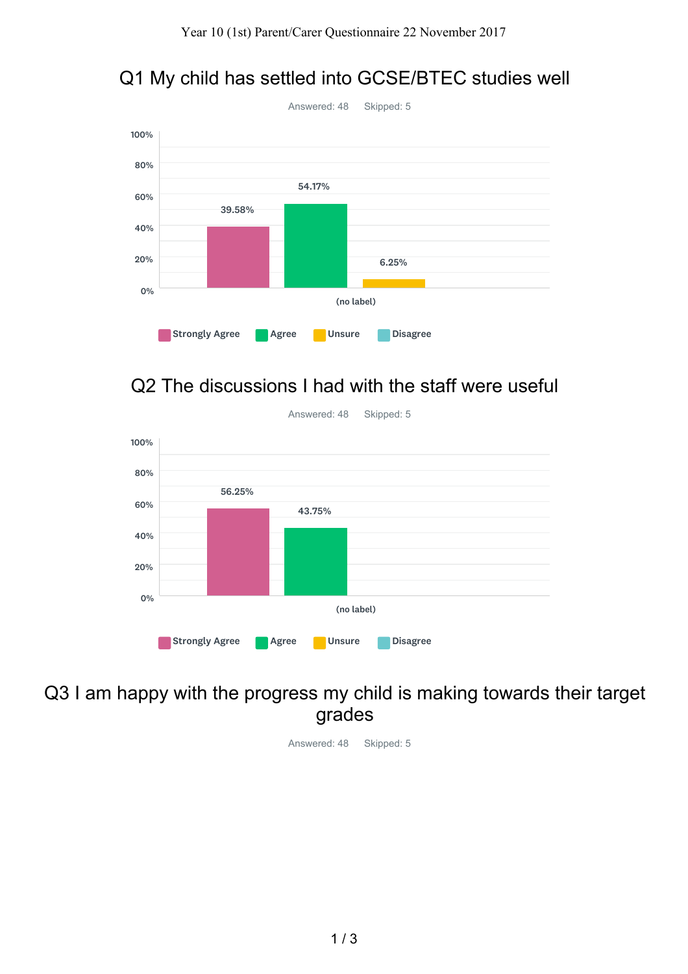# Q1 My child has settled into GCSE/BTEC studies well



## Q2 The discussions I had with the staff were useful



Answered: 48 Skipped: 5

## Q3 I am happy with the progress my child is making towards their target grades

Answered: 48 Skipped: 5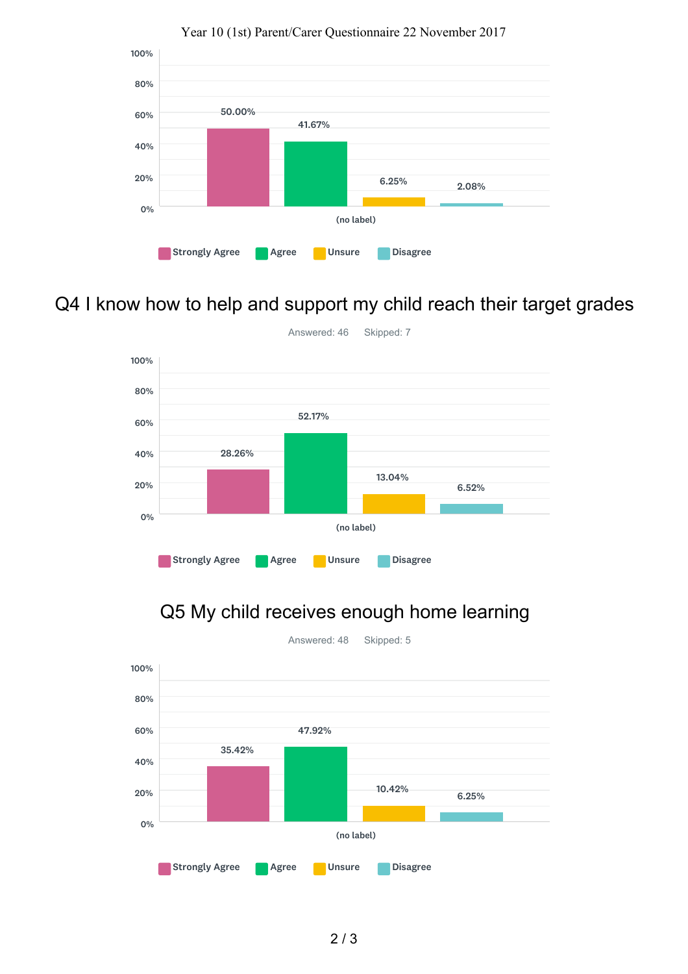

#### Year 10 (1st) Parent/Carer Questionnaire 22 November 2017

## Q4 I know how to help and support my child reach their target grades



### Q5 My child receives enough home learning



2 / 3